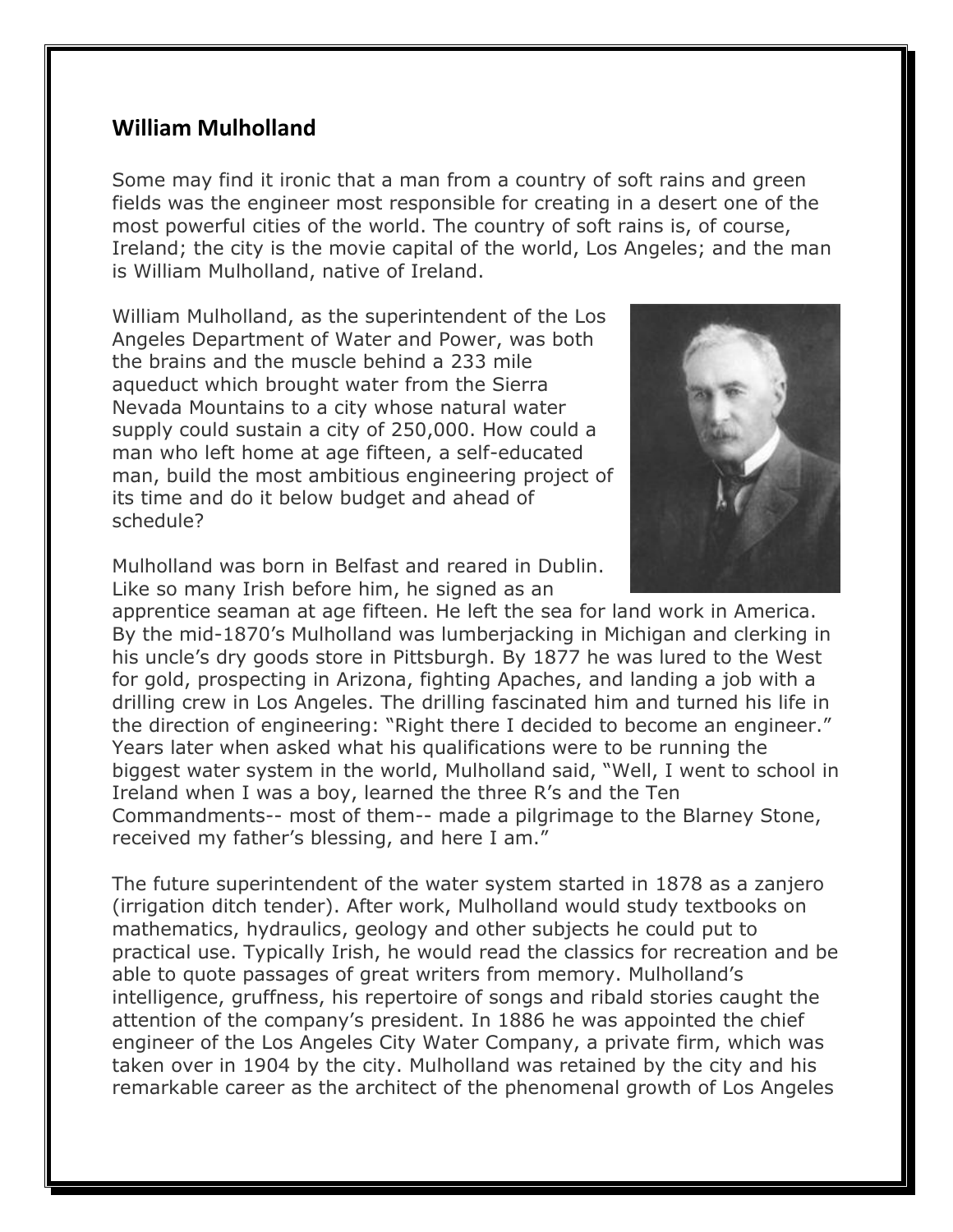## **William Mulholland**

Some may find it ironic that a man from a country of soft rains and green fields was the engineer most responsible for creating in a desert one of the most powerful cities of the world. The country of soft rains is, of course, Ireland; the city is the movie capital of the world, Los Angeles; and the man is William Mulholland, native of Ireland.

William Mulholland, as the superintendent of the Los Angeles Department of Water and Power, was both the brains and the muscle behind a 233 mile aqueduct which brought water from the Sierra Nevada Mountains to a city whose natural water supply could sustain a city of 250,000. How could a man who left home at age fifteen, a self-educated man, build the most ambitious engineering project of its time and do it below budget and ahead of schedule?



Mulholland was born in Belfast and reared in Dublin. Like so many Irish before him, he signed as an

apprentice seaman at age fifteen. He left the sea for land work in America. By the mid-1870's Mulholland was lumberjacking in Michigan and clerking in his uncle's dry goods store in Pittsburgh. By 1877 he was lured to the West for gold, prospecting in Arizona, fighting Apaches, and landing a job with a drilling crew in Los Angeles. The drilling fascinated him and turned his life in the direction of engineering: "Right there I decided to become an engineer." Years later when asked what his qualifications were to be running the biggest water system in the world, Mulholland said, "Well, I went to school in Ireland when I was a boy, learned the three R's and the Ten Commandments-- most of them-- made a pilgrimage to the Blarney Stone, received my father's blessing, and here I am."

The future superintendent of the water system started in 1878 as a zanjero (irrigation ditch tender). After work, Mulholland would study textbooks on mathematics, hydraulics, geology and other subjects he could put to practical use. Typically Irish, he would read the classics for recreation and be able to quote passages of great writers from memory. Mulholland's intelligence, gruffness, his repertoire of songs and ribald stories caught the attention of the company's president. In 1886 he was appointed the chief engineer of the Los Angeles City Water Company, a private firm, which was taken over in 1904 by the city. Mulholland was retained by the city and his remarkable career as the architect of the phenomenal growth of Los Angeles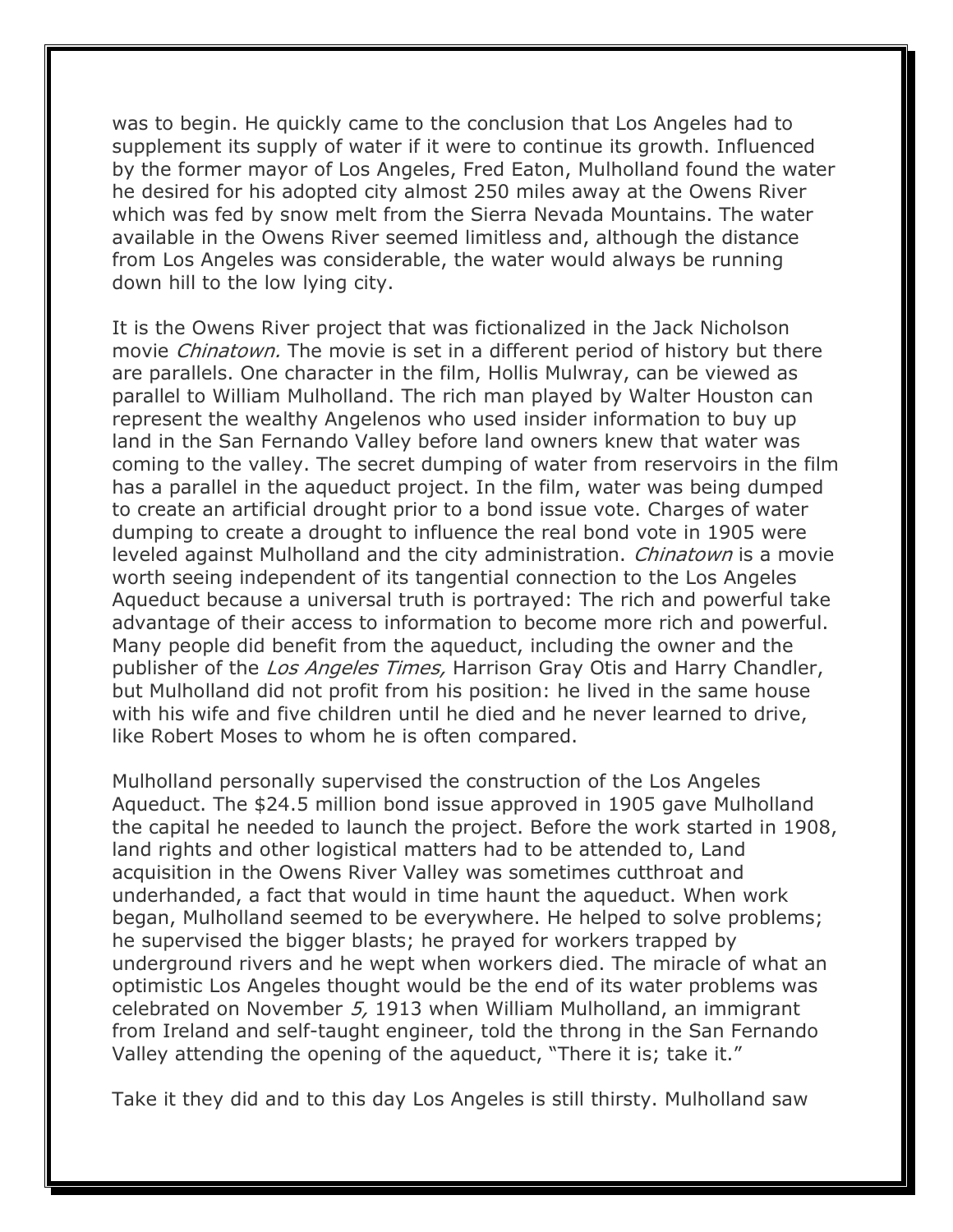was to begin. He quickly came to the conclusion that Los Angeles had to supplement its supply of water if it were to continue its growth. Influenced by the former mayor of Los Angeles, Fred Eaton, Mulholland found the water he desired for his adopted city almost 250 miles away at the Owens River which was fed by snow melt from the Sierra Nevada Mountains. The water available in the Owens River seemed limitless and, although the distance from Los Angeles was considerable, the water would always be running down hill to the low lying city.

It is the Owens River project that was fictionalized in the Jack Nicholson movie *Chinatown*. The movie is set in a different period of history but there are parallels. One character in the film, Hollis Mulwray, can be viewed as parallel to William Mulholland. The rich man played by Walter Houston can represent the wealthy Angelenos who used insider information to buy up land in the San Fernando Valley before land owners knew that water was coming to the valley. The secret dumping of water from reservoirs in the film has a parallel in the aqueduct project. In the film, water was being dumped to create an artificial drought prior to a bond issue vote. Charges of water dumping to create a drought to influence the real bond vote in 1905 were leveled against Mulholland and the city administration. Chinatown is a movie worth seeing independent of its tangential connection to the Los Angeles Aqueduct because a universal truth is portrayed: The rich and powerful take advantage of their access to information to become more rich and powerful. Many people did benefit from the aqueduct, including the owner and the publisher of the *Los Angeles Times*, Harrison Gray Otis and Harry Chandler, but Mulholland did not profit from his position: he lived in the same house with his wife and five children until he died and he never learned to drive, like Robert Moses to whom he is often compared.

Mulholland personally supervised the construction of the Los Angeles Aqueduct. The \$24.5 million bond issue approved in 1905 gave Mulholland the capital he needed to launch the project. Before the work started in 1908, land rights and other logistical matters had to be attended to, Land acquisition in the Owens River Valley was sometimes cutthroat and underhanded, a fact that would in time haunt the aqueduct. When work began, Mulholland seemed to be everywhere. He helped to solve problems; he supervised the bigger blasts; he prayed for workers trapped by underground rivers and he wept when workers died. The miracle of what an optimistic Los Angeles thought would be the end of its water problems was celebrated on November 5, 1913 when William Mulholland, an immigrant from Ireland and self-taught engineer, told the throng in the San Fernando Valley attending the opening of the aqueduct, "There it is; take it."

Take it they did and to this day Los Angeles is still thirsty. Mulholland saw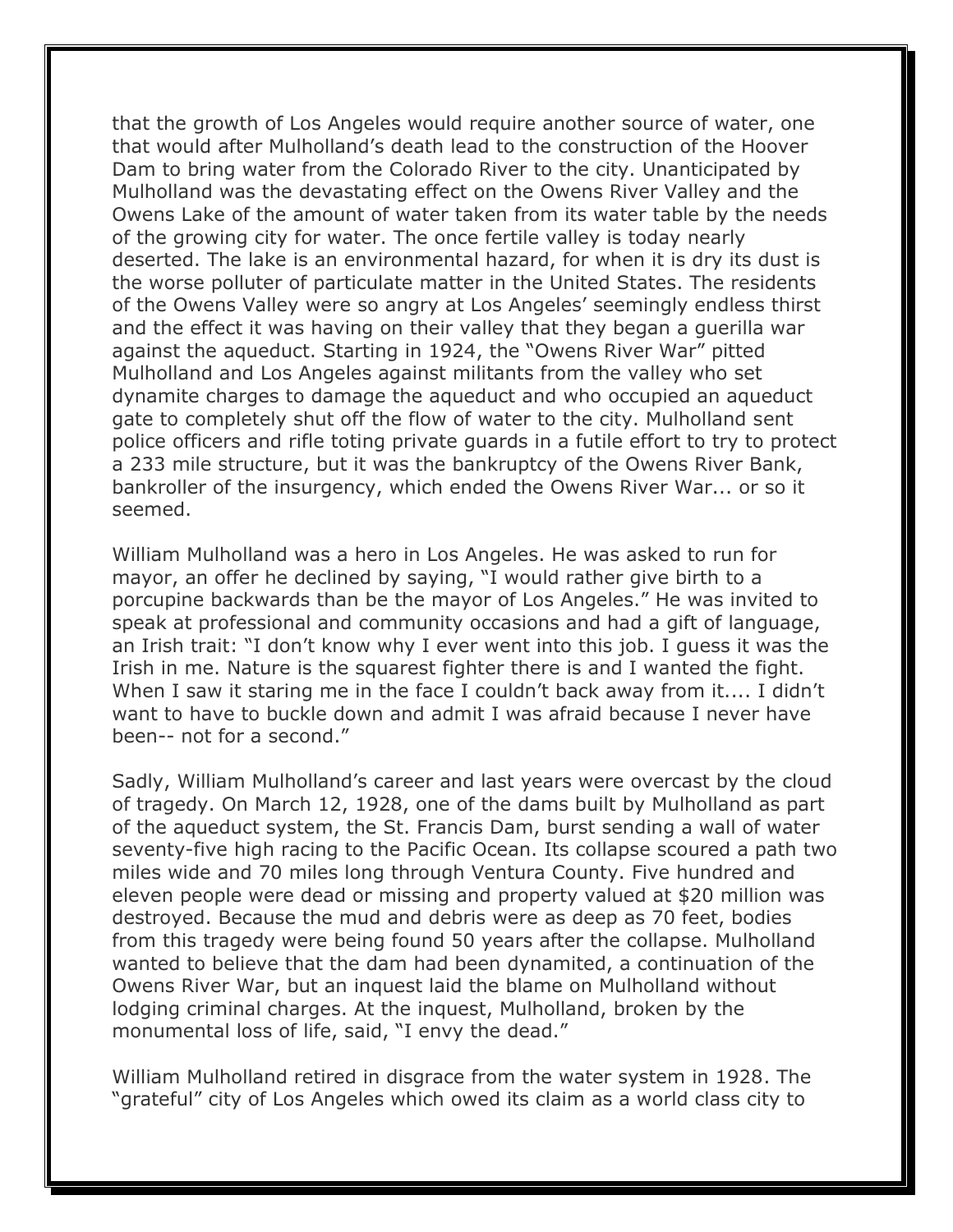that the growth of Los Angeles would require another source of water, one that would after Mulholland's death lead to the construction of the Hoover Dam to bring water from the Colorado River to the city. Unanticipated by Mulholland was the devastating effect on the Owens River Valley and the Owens Lake of the amount of water taken from its water table by the needs of the growing city for water. The once fertile valley is today nearly deserted. The lake is an environmental hazard, for when it is dry its dust is the worse polluter of particulate matter in the United States. The residents of the Owens Valley were so angry at Los Angeles' seemingly endless thirst and the effect it was having on their valley that they began a guerilla war against the aqueduct. Starting in 1924, the "Owens River War" pitted Mulholland and Los Angeles against militants from the valley who set dynamite charges to damage the aqueduct and who occupied an aqueduct gate to completely shut off the flow of water to the city. Mulholland sent police officers and rifle toting private guards in a futile effort to try to protect a 233 mile structure, but it was the bankruptcy of the Owens River Bank, bankroller of the insurgency, which ended the Owens River War... or so it seemed.

William Mulholland was a hero in Los Angeles. He was asked to run for mayor, an offer he declined by saying, "I would rather give birth to a porcupine backwards than be the mayor of Los Angeles." He was invited to speak at professional and community occasions and had a gift of language, an Irish trait: "I don't know why I ever went into this job. I guess it was the Irish in me. Nature is the squarest fighter there is and I wanted the fight. When I saw it staring me in the face I couldn't back away from it.... I didn't want to have to buckle down and admit I was afraid because I never have been-- not for a second."

Sadly, William Mulholland's career and last years were overcast by the cloud of tragedy. On March 12, 1928, one of the dams built by Mulholland as part of the aqueduct system, the St. Francis Dam, burst sending a wall of water seventy-five high racing to the Pacific Ocean. Its collapse scoured a path two miles wide and 70 miles long through Ventura County. Five hundred and eleven people were dead or missing and property valued at \$20 million was destroyed. Because the mud and debris were as deep as 70 feet, bodies from this tragedy were being found 50 years after the collapse. Mulholland wanted to believe that the dam had been dynamited, a continuation of the Owens River War, but an inquest laid the blame on Mulholland without lodging criminal charges. At the inquest, Mulholland, broken by the monumental loss of life, said, "I envy the dead."

William Mulholland retired in disgrace from the water system in 1928. The "grateful" city of Los Angeles which owed its claim as a world class city to